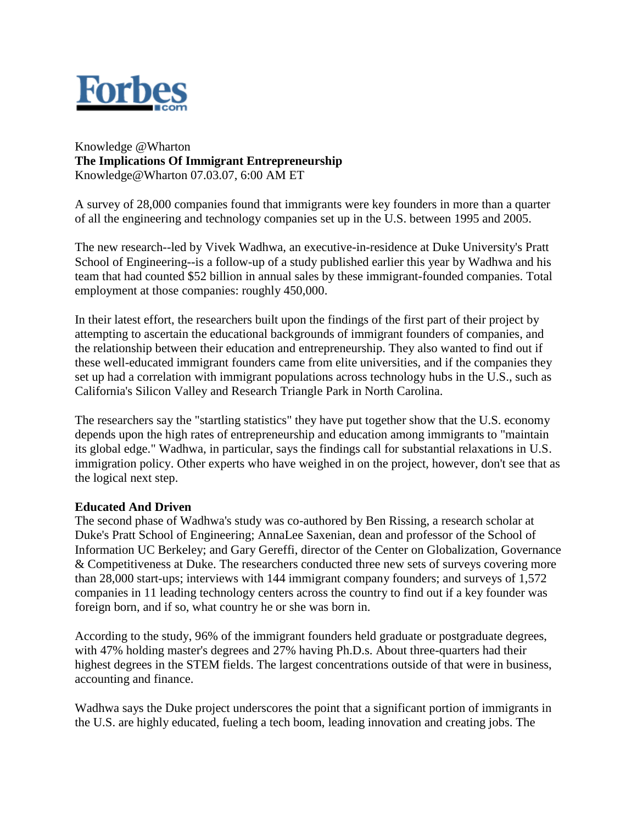

Knowledge @Wharton **The Implications Of Immigrant Entrepreneurship** Knowledge@Wharton 07.03.07, 6:00 AM ET

A survey of 28,000 companies found that immigrants were key founders in more than a quarter of all the engineering and technology companies set up in the U.S. between 1995 and 2005.

The new research--led by Vivek Wadhwa, an executive-in-residence at Duke University's Pratt School of Engineering--is a follow-up of a study published earlier this year by Wadhwa and his team that had counted \$52 billion in annual sales by these immigrant-founded companies. Total employment at those companies: roughly 450,000.

In their latest effort, the researchers built upon the findings of the first part of their project by attempting to ascertain the educational backgrounds of immigrant founders of companies, and the relationship between their education and entrepreneurship. They also wanted to find out if these well-educated immigrant founders came from elite universities, and if the companies they set up had a correlation with immigrant populations across technology hubs in the U.S., such as California's Silicon Valley and Research Triangle Park in North Carolina.

The researchers say the "startling statistics" they have put together show that the U.S. economy depends upon the high rates of entrepreneurship and education among immigrants to "maintain its global edge." Wadhwa, in particular, says the findings call for substantial relaxations in U.S. immigration policy. Other experts who have weighed in on the project, however, don't see that as the logical next step.

## **Educated And Driven**

The second phase of Wadhwa's study was co-authored by Ben Rissing, a research scholar at Duke's Pratt School of Engineering; AnnaLee Saxenian, dean and professor of the School of Information UC Berkeley; and Gary Gereffi, director of the Center on Globalization, Governance & Competitiveness at Duke. The researchers conducted three new sets of surveys covering more than 28,000 start-ups; interviews with 144 immigrant company founders; and surveys of 1,572 companies in 11 leading technology centers across the country to find out if a key founder was foreign born, and if so, what country he or she was born in.

According to the study, 96% of the immigrant founders held graduate or postgraduate degrees, with 47% holding master's degrees and 27% having Ph.D.s. About three-quarters had their highest degrees in the STEM fields. The largest concentrations outside of that were in business, accounting and finance.

Wadhwa says the Duke project underscores the point that a significant portion of immigrants in the U.S. are highly educated, fueling a tech boom, leading innovation and creating jobs. The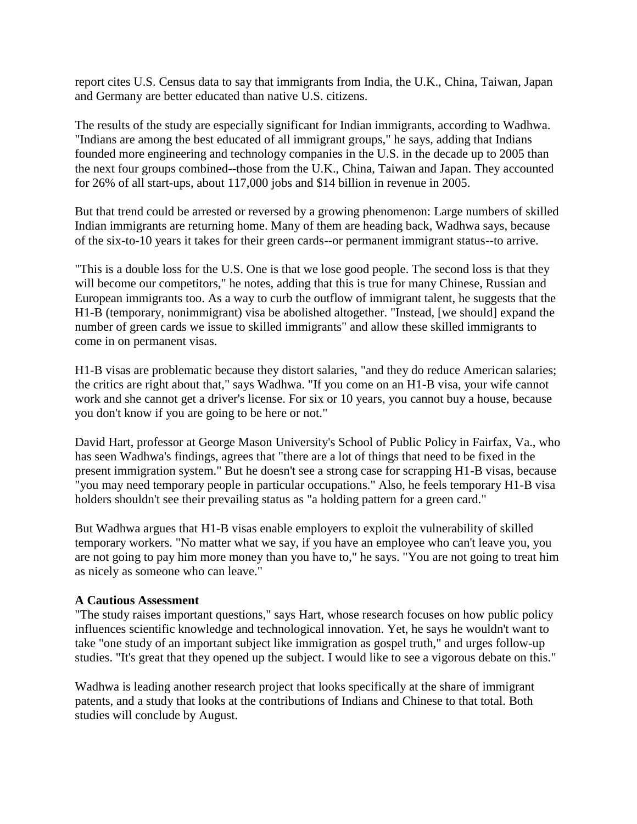report cites U.S. Census data to say that immigrants from India, the U.K., China, Taiwan, Japan and Germany are better educated than native U.S. citizens.

The results of the study are especially significant for Indian immigrants, according to Wadhwa. "Indians are among the best educated of all immigrant groups," he says, adding that Indians founded more engineering and technology companies in the U.S. in the decade up to 2005 than the next four groups combined--those from the U.K., China, Taiwan and Japan. They accounted for 26% of all start-ups, about 117,000 jobs and \$14 billion in revenue in 2005.

But that trend could be arrested or reversed by a growing phenomenon: Large numbers of skilled Indian immigrants are returning home. Many of them are heading back, Wadhwa says, because of the six-to-10 years it takes for their green cards--or permanent immigrant status--to arrive.

"This is a double loss for the U.S. One is that we lose good people. The second loss is that they will become our competitors," he notes, adding that this is true for many Chinese, Russian and European immigrants too. As a way to curb the outflow of immigrant talent, he suggests that the H1-B (temporary, nonimmigrant) visa be abolished altogether. "Instead, [we should] expand the number of green cards we issue to skilled immigrants" and allow these skilled immigrants to come in on permanent visas.

H1-B visas are problematic because they distort salaries, "and they do reduce American salaries; the critics are right about that," says Wadhwa. "If you come on an H1-B visa, your wife cannot work and she cannot get a driver's license. For six or 10 years, you cannot buy a house, because you don't know if you are going to be here or not."

David Hart, professor at George Mason University's School of Public Policy in Fairfax, Va., who has seen Wadhwa's findings, agrees that "there are a lot of things that need to be fixed in the present immigration system." But he doesn't see a strong case for scrapping H1-B visas, because "you may need temporary people in particular occupations." Also, he feels temporary H1-B visa holders shouldn't see their prevailing status as "a holding pattern for a green card."

But Wadhwa argues that H1-B visas enable employers to exploit the vulnerability of skilled temporary workers. "No matter what we say, if you have an employee who can't leave you, you are not going to pay him more money than you have to," he says. "You are not going to treat him as nicely as someone who can leave."

## **A Cautious Assessment**

"The study raises important questions," says Hart, whose research focuses on how public policy influences scientific knowledge and technological innovation. Yet, he says he wouldn't want to take "one study of an important subject like immigration as gospel truth," and urges follow-up studies. "It's great that they opened up the subject. I would like to see a vigorous debate on this."

Wadhwa is leading another research project that looks specifically at the share of immigrant patents, and a study that looks at the contributions of Indians and Chinese to that total. Both studies will conclude by August.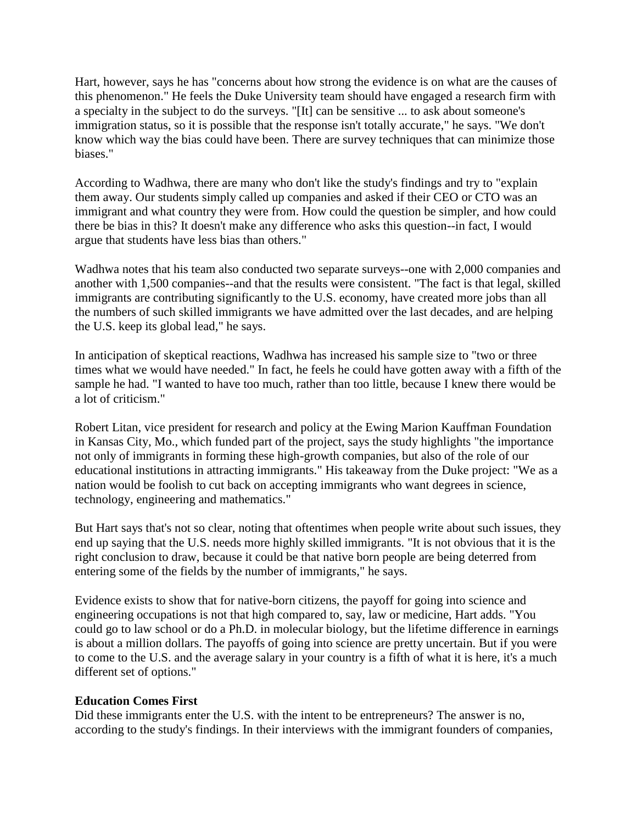Hart, however, says he has "concerns about how strong the evidence is on what are the causes of this phenomenon." He feels the Duke University team should have engaged a research firm with a specialty in the subject to do the surveys. "[It] can be sensitive ... to ask about someone's immigration status, so it is possible that the response isn't totally accurate," he says. "We don't know which way the bias could have been. There are survey techniques that can minimize those biases."

According to Wadhwa, there are many who don't like the study's findings and try to "explain them away. Our students simply called up companies and asked if their CEO or CTO was an immigrant and what country they were from. How could the question be simpler, and how could there be bias in this? It doesn't make any difference who asks this question--in fact, I would argue that students have less bias than others."

Wadhwa notes that his team also conducted two separate surveys--one with 2,000 companies and another with 1,500 companies--and that the results were consistent. "The fact is that legal, skilled immigrants are contributing significantly to the U.S. economy, have created more jobs than all the numbers of such skilled immigrants we have admitted over the last decades, and are helping the U.S. keep its global lead," he says.

In anticipation of skeptical reactions, Wadhwa has increased his sample size to "two or three times what we would have needed." In fact, he feels he could have gotten away with a fifth of the sample he had. "I wanted to have too much, rather than too little, because I knew there would be a lot of criticism."

Robert Litan, vice president for research and policy at the Ewing Marion Kauffman Foundation in Kansas City, Mo., which funded part of the project, says the study highlights "the importance not only of immigrants in forming these high-growth companies, but also of the role of our educational institutions in attracting immigrants." His takeaway from the Duke project: "We as a nation would be foolish to cut back on accepting immigrants who want degrees in science, technology, engineering and mathematics."

But Hart says that's not so clear, noting that oftentimes when people write about such issues, they end up saying that the U.S. needs more highly skilled immigrants. "It is not obvious that it is the right conclusion to draw, because it could be that native born people are being deterred from entering some of the fields by the number of immigrants," he says.

Evidence exists to show that for native-born citizens, the payoff for going into science and engineering occupations is not that high compared to, say, law or medicine, Hart adds. "You could go to law school or do a Ph.D. in molecular biology, but the lifetime difference in earnings is about a million dollars. The payoffs of going into science are pretty uncertain. But if you were to come to the U.S. and the average salary in your country is a fifth of what it is here, it's a much different set of options."

## **Education Comes First**

Did these immigrants enter the U.S. with the intent to be entrepreneurs? The answer is no, according to the study's findings. In their interviews with the immigrant founders of companies,